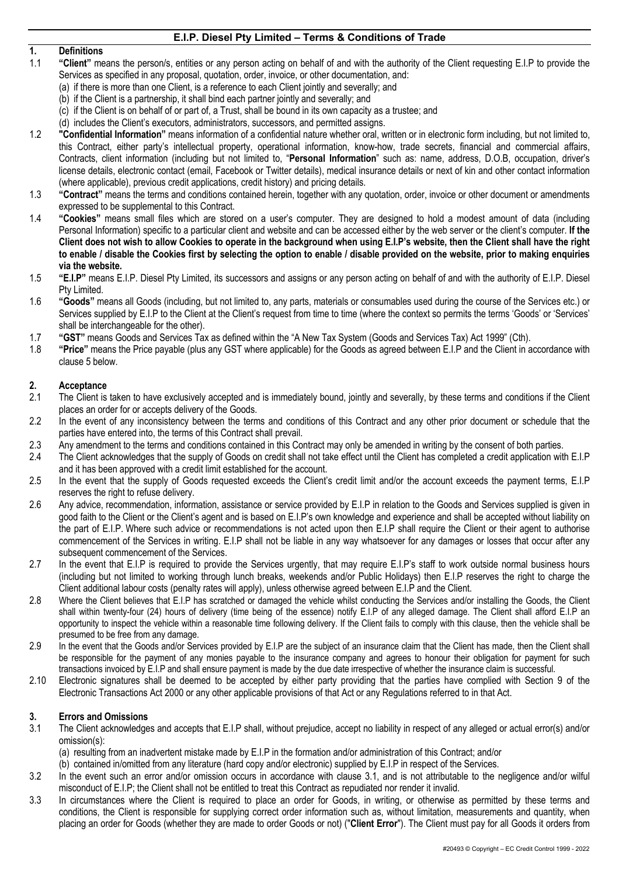# **1. Definitions**

- 1.1 **"Client"** means the person/s, entities or any person acting on behalf of and with the authority of the Client requesting E.I.P to provide the Services as specified in any proposal, quotation, order, invoice, or other documentation, and:
- (a) if there is more than one Client, is a reference to each Client jointly and severally; and
	- (b) if the Client is a partnership, it shall bind each partner jointly and severally; and
	- (c) if the Client is on behalf of or part of, a Trust, shall be bound in its own capacity as a trustee; and
- (d) includes the Client's executors, administrators, successors, and permitted assigns.
- 1.2 **"Confidential Information"** means information of a confidential nature whether oral, written or in electronic form including, but not limited to, this Contract, either party's intellectual property, operational information, know-how, trade secrets, financial and commercial affairs, Contracts, client information (including but not limited to, "**Personal Information**" such as: name, address, D.O.B, occupation, driver's license details, electronic contact (email, Facebook or Twitter details), medical insurance details or next of kin and other contact information (where applicable), previous credit applications, credit history) and pricing details.
- 1.3 **"Contract"** means the terms and conditions contained herein, together with any quotation, order, invoice or other document or amendments expressed to be supplemental to this Contract.
- 1.4 **"Cookies"** means small files which are stored on a user's computer. They are designed to hold a modest amount of data (including Personal Information) specific to a particular client and website and can be accessed either by the web server or the client's computer. **If the Client does not wish to allow Cookies to operate in the background when using E.I.P's website, then the Client shall have the right to enable / disable the Cookies first by selecting the option to enable / disable provided on the website, prior to making enquiries via the website.**
- 1.5 **"E.I.P"** means E.I.P. Diesel Pty Limited, its successors and assigns or any person acting on behalf of and with the authority of E.I.P. Diesel Pty Limited.
- 1.6 **"Goods"** means all Goods (including, but not limited to, any parts, materials or consumables used during the course of the Services etc.) or Services supplied by E.I.P to the Client at the Client's request from time to time (where the context so permits the terms 'Goods' or 'Services' shall be interchangeable for the other).
- 1.7 **"GST"** means Goods and Services Tax as defined within the "A New Tax System (Goods and Services Tax) Act 1999" (Cth).
- 1.8 **"Price"** means the Price payable (plus any GST where applicable) for the Goods as agreed between E.I.P and the Client in accordance with clause 5 below.

#### **2. Acceptance**

- 2.1 The Client is taken to have exclusively accepted and is immediately bound, jointly and severally, by these terms and conditions if the Client places an order for or accepts delivery of the Goods.
- 2.2 In the event of any inconsistency between the terms and conditions of this Contract and any other prior document or schedule that the parties have entered into, the terms of this Contract shall prevail.
- 2.3 Any amendment to the terms and conditions contained in this Contract may only be amended in writing by the consent of both parties.
- 2.4 The Client acknowledges that the supply of Goods on credit shall not take effect until the Client has completed a credit application with E.I.P and it has been approved with a credit limit established for the account.
- 2.5 In the event that the supply of Goods requested exceeds the Client's credit limit and/or the account exceeds the payment terms, E.I.P reserves the right to refuse delivery.
- 2.6 Any advice, recommendation, information, assistance or service provided by E.I.P in relation to the Goods and Services supplied is given in good faith to the Client or the Client's agent and is based on E.I.P's own knowledge and experience and shall be accepted without liability on the part of E.I.P. Where such advice or recommendations is not acted upon then E.I.P shall require the Client or their agent to authorise commencement of the Services in writing. E.I.P shall not be liable in any way whatsoever for any damages or losses that occur after any subsequent commencement of the Services.
- 2.7 In the event that E.I.P is required to provide the Services urgently, that may require E.I.P's staff to work outside normal business hours (including but not limited to working through lunch breaks, weekends and/or Public Holidays) then E.I.P reserves the right to charge the Client additional labour costs (penalty rates will apply), unless otherwise agreed between E.I.P and the Client.
- 2.8 Where the Client believes that E.I.P has scratched or damaged the vehicle whilst conducting the Services and/or installing the Goods, the Client shall within twenty-four (24) hours of delivery (time being of the essence) notify E.I.P of any alleged damage. The Client shall afford E.I.P an opportunity to inspect the vehicle within a reasonable time following delivery. If the Client fails to comply with this clause, then the vehicle shall be presumed to be free from any damage.
- 2.9 In the event that the Goods and/or Services provided by E.I.P are the subject of an insurance claim that the Client has made, then the Client shall be responsible for the payment of any monies payable to the insurance company and agrees to honour their obligation for payment for such transactions invoiced by E.I.P and shall ensure payment is made by the due date irrespective of whether the insurance claim is successful.
- 2.10 Electronic signatures shall be deemed to be accepted by either party providing that the parties have complied with Section 9 of the Electronic Transactions Act 2000 or any other applicable provisions of that Act or any Regulations referred to in that Act.

#### **3. Errors and Omissions**

- 3.1 The Client acknowledges and accepts that E.I.P shall, without prejudice, accept no liability in respect of any alleged or actual error(s) and/or omission(s):
	- (a) resulting from an inadvertent mistake made by E.I.P in the formation and/or administration of this Contract; and/or
	- (b) contained in/omitted from any literature (hard copy and/or electronic) supplied by E.I.P in respect of the Services.
- 3.2 In the event such an error and/or omission occurs in accordance with clause 3.1, and is not attributable to the negligence and/or wilful misconduct of E.I.P; the Client shall not be entitled to treat this Contract as repudiated nor render it invalid.
- 3.3 In circumstances where the Client is required to place an order for Goods, in writing, or otherwise as permitted by these terms and conditions, the Client is responsible for supplying correct order information such as, without limitation, measurements and quantity, when placing an order for Goods (whether they are made to order Goods or not) ("**Client Error**"). The Client must pay for all Goods it orders from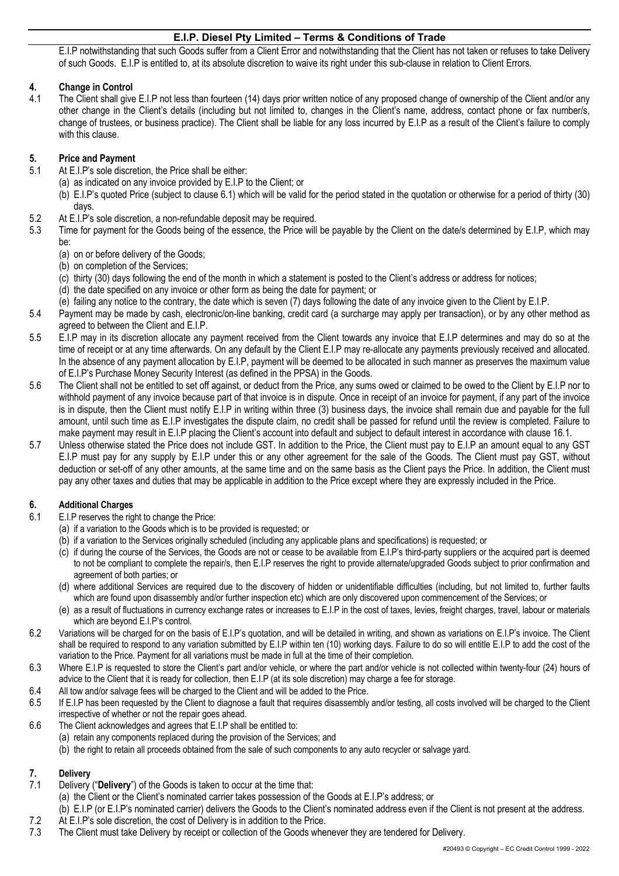E.I.P notwithstanding that such Goods suffer from a Client Error and notwithstanding that the Client has not taken or refuses to take Delivery of such Goods. E.I.P is entitled to, at its absolute discretion to waive its right under this sub-clause in relation to Client Errors.

## **4. Change in Control**

4.1 The Client shall give E.I.P not less than fourteen (14) days prior written notice of any proposed change of ownership of the Client and/or any other change in the Client's details (including but not limited to, changes in the Client's name, address, contact phone or fax number/s, change of trustees, or business practice). The Client shall be liable for any loss incurred by E.I.P as a result of the Client's failure to comply with this clause.

#### **5. Price and Payment**

- 5.1 At E.I.P's sole discretion, the Price shall be either:
	- (a) as indicated on any invoice provided by E.I.P to the Client; or
	- (b) E.I.P's quoted Price (subject to clause 6.1) which will be valid for the period stated in the quotation or otherwise for a period of thirty (30) days.
- 5.2 At E.I.P's sole discretion, a non-refundable deposit may be required.
- 5.3 Time for payment for the Goods being of the essence, the Price will be payable by the Client on the date/s determined by E.I.P, which may be:
	- (a) on or before delivery of the Goods;
	- (b) on completion of the Services;
	- (c) thirty (30) days following the end of the month in which a statement is posted to the Client's address or address for notices;
	- (d) the date specified on any invoice or other form as being the date for payment; or
	- (e) failing any notice to the contrary, the date which is seven (7) days following the date of any invoice given to the Client by E.I.P.
- 5.4 Payment may be made by cash, electronic/on-line banking, credit card (a surcharge may apply per transaction), or by any other method as agreed to between the Client and E.I.P.
- 5.5 E.I.P may in its discretion allocate any payment received from the Client towards any invoice that E.I.P determines and may do so at the time of receipt or at any time afterwards. On any default by the Client E.I.P may re-allocate any payments previously received and allocated. In the absence of any payment allocation by E.I.P, payment will be deemed to be allocated in such manner as preserves the maximum value of E.I.P's Purchase Money Security Interest (as defined in the PPSA) in the Goods.
- 5.6 The Client shall not be entitled to set off against, or deduct from the Price, any sums owed or claimed to be owed to the Client by E.I.P nor to withhold payment of any invoice because part of that invoice is in dispute. Once in receipt of an invoice for payment, if any part of the invoice is in dispute, then the Client must notify E.I.P in writing within three (3) business days, the invoice shall remain due and payable for the full amount, until such time as E.I.P investigates the dispute claim, no credit shall be passed for refund until the review is completed. Failure to make payment may result in E.I.P placing the Client's account into default and subject to default interest in accordance with clause 16.1.
- 5.7 Unless otherwise stated the Price does not include GST. In addition to the Price, the Client must pay to E.I.P an amount equal to any GST E.I.P must pay for any supply by E.I.P under this or any other agreement for the sale of the Goods. The Client must pay GST, without deduction or set-off of any other amounts, at the same time and on the same basis as the Client pays the Price. In addition, the Client must pay any other taxes and duties that may be applicable in addition to the Price except where they are expressly included in the Price.

## **6. Additional Charges**

- 6.1 E.I.P reserves the right to change the Price:
	- (a) if a variation to the Goods which is to be provided is requested; or
	- (b) if a variation to the Services originally scheduled (including any applicable plans and specifications) is requested; or
	- (c) if during the course of the Services, the Goods are not or cease to be available from E.I.P's third-party suppliers or the acquired part is deemed to not be compliant to complete the repair/s, then E.I.P reserves the right to provide alternate/upgraded Goods subject to prior confirmation and agreement of both parties; or
	- (d) where additional Services are required due to the discovery of hidden or unidentifiable difficulties (including, but not limited to, further faults which are found upon disassembly and/or further inspection etc) which are only discovered upon commencement of the Services; or
	- (e) as a result of fluctuations in currency exchange rates or increases to E.I.P in the cost of taxes, levies, freight charges, travel, labour or materials which are beyond E.I.P's control.
- 6.2 Variations will be charged for on the basis of E.I.P's quotation, and will be detailed in writing, and shown as variations on E.I.P's invoice. The Client shall be required to respond to any variation submitted by E.I.P within ten (10) working days. Failure to do so will entitle E.I.P to add the cost of the variation to the Price. Payment for all variations must be made in full at the time of their completion.
- 6.3 Where E.I.P is requested to store the Client's part and/or vehicle, or where the part and/or vehicle is not collected within twenty-four (24) hours of advice to the Client that it is ready for collection, then E.I.P (at its sole discretion) may charge a fee for storage.
- 6.4 All tow and/or salvage fees will be charged to the Client and will be added to the Price.
- 6.5 If E.I.P has been requested by the Client to diagnose a fault that requires disassembly and/or testing, all costs involved will be charged to the Client irrespective of whether or not the repair goes ahead.
- 6.6 The Client acknowledges and agrees that E.I.P shall be entitled to: (a) retain any components replaced during the provision of the Services; and (b) the right to retain all proceeds obtained from the sale of such components to any auto recycler or salvage yard.

## **7. Delivery**

- 7.1 Delivery ("**Delivery**") of the Goods is taken to occur at the time that:
- (a) the Client or the Client's nominated carrier takes possession of the Goods at E.I.P's address; or
- (b) E.I.P (or E.I.P's nominated carrier) delivers the Goods to the Client's nominated address even if the Client is not present at the address. 7.2 At E.I.P's sole discretion, the cost of Delivery is in addition to the Price.
- 7.3 The Client must take Delivery by receipt or collection of the Goods whenever they are tendered for Delivery.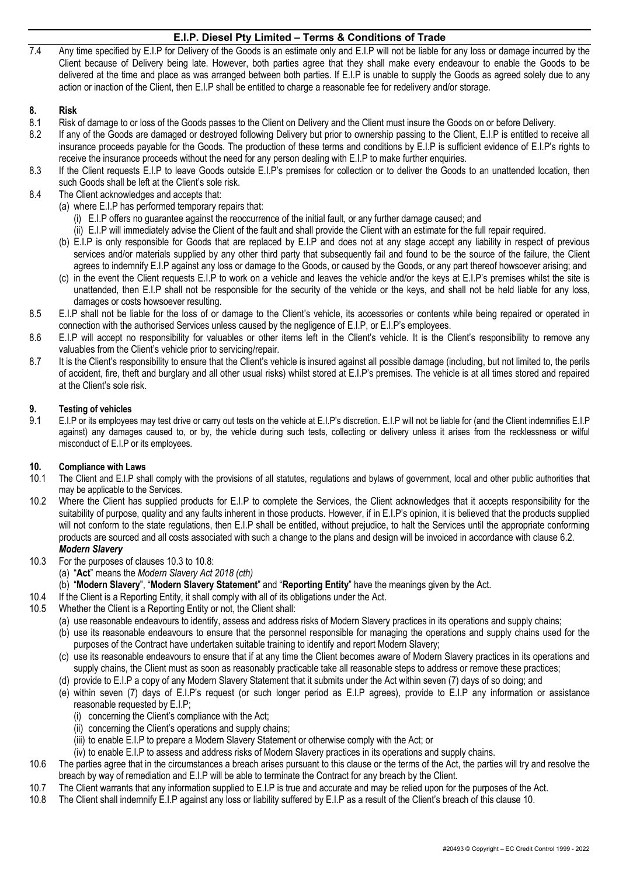7.4 Any time specified by E.I.P for Delivery of the Goods is an estimate only and E.I.P will not be liable for any loss or damage incurred by the Client because of Delivery being late. However, both parties agree that they shall make every endeavour to enable the Goods to be delivered at the time and place as was arranged between both parties. If E.I.P is unable to supply the Goods as agreed solely due to any action or inaction of the Client, then E.I.P shall be entitled to charge a reasonable fee for redelivery and/or storage.

#### **8. Risk**

- 8.1 Risk of damage to or loss of the Goods passes to the Client on Delivery and the Client must insure the Goods on or before Delivery.
- 8.2 If any of the Goods are damaged or destroyed following Delivery but prior to ownership passing to the Client, E.I.P is entitled to receive all insurance proceeds payable for the Goods. The production of these terms and conditions by E.I.P is sufficient evidence of E.I.P's rights to receive the insurance proceeds without the need for any person dealing with E.I.P to make further enquiries.
- 8.3 If the Client requests E.I.P to leave Goods outside E.I.P's premises for collection or to deliver the Goods to an unattended location, then such Goods shall be left at the Client's sole risk.
- 8.4 The Client acknowledges and accepts that:
	- (a) where E.I.P has performed temporary repairs that:
		- (i) E.I.P offers no guarantee against the reoccurrence of the initial fault, or any further damage caused; and
		- (ii) E.I.P will immediately advise the Client of the fault and shall provide the Client with an estimate for the full repair required.
	- (b) E.I.P is only responsible for Goods that are replaced by E.I.P and does not at any stage accept any liability in respect of previous services and/or materials supplied by any other third party that subsequently fail and found to be the source of the failure, the Client agrees to indemnify E.I.P against any loss or damage to the Goods, or caused by the Goods, or any part thereof howsoever arising; and
	- (c) in the event the Client requests E.I.P to work on a vehicle and leaves the vehicle and/or the keys at E.I.P's premises whilst the site is unattended, then E.I.P shall not be responsible for the security of the vehicle or the keys, and shall not be held liable for any loss, damages or costs howsoever resulting.
- 8.5 E.I.P shall not be liable for the loss of or damage to the Client's vehicle, its accessories or contents while being repaired or operated in connection with the authorised Services unless caused by the negligence of E.I.P, or E.I.P's employees.
- 8.6 E.I.P will accept no responsibility for valuables or other items left in the Client's vehicle. It is the Client's responsibility to remove any valuables from the Client's vehicle prior to servicing/repair.
- 8.7 It is the Client's responsibility to ensure that the Client's vehicle is insured against all possible damage (including, but not limited to, the perils of accident, fire, theft and burglary and all other usual risks) whilst stored at E.I.P's premises. The vehicle is at all times stored and repaired at the Client's sole risk.

### **9. Testing of vehicles**

9.1 E.I.P or its employees may test drive or carry out tests on the vehicle at E.I.P's discretion. E.I.P will not be liable for (and the Client indemnifies E.I.P against) any damages caused to, or by, the vehicle during such tests, collecting or delivery unless it arises from the recklessness or wilful misconduct of E.I.P or its employees.

## **10. Compliance with Laws**

- 10.1 The Client and E.I.P shall comply with the provisions of all statutes, regulations and bylaws of government, local and other public authorities that may be applicable to the Services.
- 10.2 Where the Client has supplied products for E.I.P to complete the Services, the Client acknowledges that it accepts responsibility for the suitability of purpose, quality and any faults inherent in those products. However, if in E.I.P's opinion, it is believed that the products supplied will not conform to the state regulations, then E.I.P shall be entitled, without prejudice, to halt the Services until the appropriate conforming products are sourced and all costs associated with such a change to the plans and design will be invoiced in accordance with clause 6.2. *Modern Slavery*
- 10.3 For the purposes of clauses 10.3 to 10.8:
	- (a) "**Act**" means the *Modern Slavery Act 2018 (cth)*
	- (b) "**Modern Slavery**", "**Modern Slavery Statement**" and "**Reporting Entity**" have the meanings given by the Act.
- 10.4 If the Client is a Reporting Entity, it shall comply with all of its obligations under the Act.
- 10.5 Whether the Client is a Reporting Entity or not, the Client shall:
	- (a) use reasonable endeavours to identify, assess and address risks of Modern Slavery practices in its operations and supply chains;
	- (b) use its reasonable endeavours to ensure that the personnel responsible for managing the operations and supply chains used for the purposes of the Contract have undertaken suitable training to identify and report Modern Slavery;
	- (c) use its reasonable endeavours to ensure that if at any time the Client becomes aware of Modern Slavery practices in its operations and supply chains, the Client must as soon as reasonably practicable take all reasonable steps to address or remove these practices;
	- (d) provide to E.I.P a copy of any Modern Slavery Statement that it submits under the Act within seven (7) days of so doing; and
	- (e) within seven (7) days of E.I.P's request (or such longer period as E.I.P agrees), provide to E.I.P any information or assistance reasonable requested by E.I.P;
		- (i) concerning the Client's compliance with the Act;
		- (ii) concerning the Client's operations and supply chains;
		- (iii) to enable E.I.P to prepare a Modern Slavery Statement or otherwise comply with the Act; or
		- (iv) to enable E.I.P to assess and address risks of Modern Slavery practices in its operations and supply chains.
- 10.6 The parties agree that in the circumstances a breach arises pursuant to this clause or the terms of the Act, the parties will try and resolve the breach by way of remediation and E.I.P will be able to terminate the Contract for any breach by the Client.
- 10.7 The Client warrants that any information supplied to E.I.P is true and accurate and may be relied upon for the purposes of the Act.
- 10.8 The Client shall indemnify E.I.P against any loss or liability suffered by E.I.P as a result of the Client's breach of this clause 10.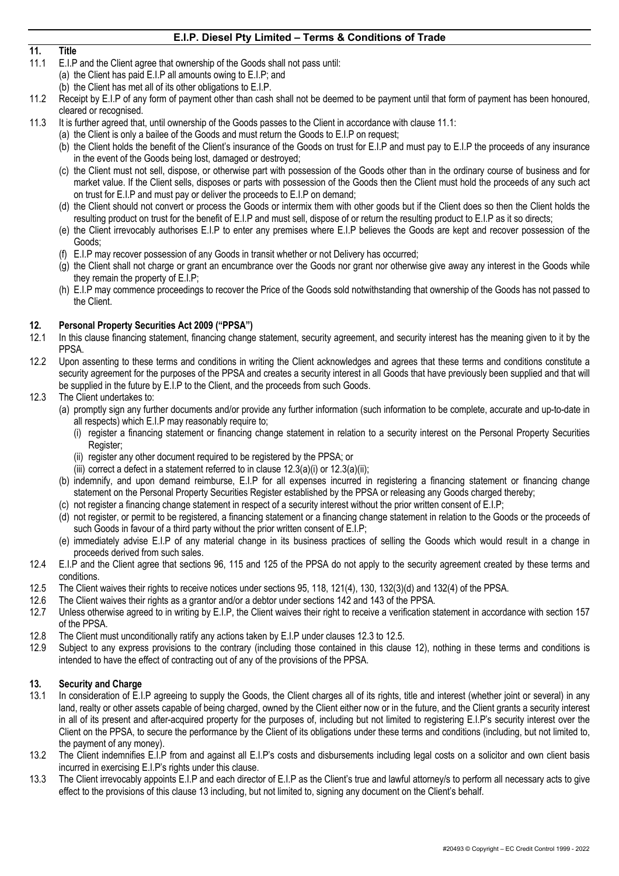# **11. Title**

- E.I.P and the Client agree that ownership of the Goods shall not pass until:
	- (a) the Client has paid E.I.P all amounts owing to E.I.P; and
	- (b) the Client has met all of its other obligations to E.I.P.
- 11.2 Receipt by E.I.P of any form of payment other than cash shall not be deemed to be payment until that form of payment has been honoured, cleared or recognised.
- 11.3 It is further agreed that, until ownership of the Goods passes to the Client in accordance with clause 11.1:
	- (a) the Client is only a bailee of the Goods and must return the Goods to E.I.P on request;
		- (b) the Client holds the benefit of the Client's insurance of the Goods on trust for E.I.P and must pay to E.I.P the proceeds of any insurance in the event of the Goods being lost, damaged or destroyed;
		- (c) the Client must not sell, dispose, or otherwise part with possession of the Goods other than in the ordinary course of business and for market value. If the Client sells, disposes or parts with possession of the Goods then the Client must hold the proceeds of any such act on trust for E.I.P and must pay or deliver the proceeds to E.I.P on demand;
		- (d) the Client should not convert or process the Goods or intermix them with other goods but if the Client does so then the Client holds the resulting product on trust for the benefit of E.I.P and must sell, dispose of or return the resulting product to E.I.P as it so directs;
		- (e) the Client irrevocably authorises E.I.P to enter any premises where E.I.P believes the Goods are kept and recover possession of the Goods;
		- (f) E.I.P may recover possession of any Goods in transit whether or not Delivery has occurred;
		- (g) the Client shall not charge or grant an encumbrance over the Goods nor grant nor otherwise give away any interest in the Goods while they remain the property of E.I.P;
		- (h) E.I.P may commence proceedings to recover the Price of the Goods sold notwithstanding that ownership of the Goods has not passed to the Client.

#### **12. Personal Property Securities Act 2009 ("PPSA")**

- 12.1 In this clause financing statement, financing change statement, security agreement, and security interest has the meaning given to it by the PPSA.
- 12.2 Upon assenting to these terms and conditions in writing the Client acknowledges and agrees that these terms and conditions constitute a security agreement for the purposes of the PPSA and creates a security interest in all Goods that have previously been supplied and that will be supplied in the future by E.I.P to the Client, and the proceeds from such Goods.
- 12.3 The Client undertakes to:
	- (a) promptly sign any further documents and/or provide any further information (such information to be complete, accurate and up-to-date in all respects) which E.I.P may reasonably require to;
		- (i) register a financing statement or financing change statement in relation to a security interest on the Personal Property Securities Register;
		- (ii) register any other document required to be registered by the PPSA; or
		- (iii) correct a defect in a statement referred to in clause 12.3(a)(i) or 12.3(a)(ii);
	- (b) indemnify, and upon demand reimburse, E.I.P for all expenses incurred in registering a financing statement or financing change statement on the Personal Property Securities Register established by the PPSA or releasing any Goods charged thereby;
	- (c) not register a financing change statement in respect of a security interest without the prior written consent of E.I.P;
	- (d) not register, or permit to be registered, a financing statement or a financing change statement in relation to the Goods or the proceeds of such Goods in favour of a third party without the prior written consent of E.I.P;
	- (e) immediately advise E.I.P of any material change in its business practices of selling the Goods which would result in a change in proceeds derived from such sales.
- 12.4 E.I.P and the Client agree that sections 96, 115 and 125 of the PPSA do not apply to the security agreement created by these terms and conditions.
- 12.5 The Client waives their rights to receive notices under sections 95, 118, 121(4), 130, 132(3)(d) and 132(4) of the PPSA.
- 12.6 The Client waives their rights as a grantor and/or a debtor under sections 142 and 143 of the PPSA.
- 12.7 Unless otherwise agreed to in writing by E.I.P, the Client waives their right to receive a verification statement in accordance with section 157 of the PPSA.
- 12.8 The Client must unconditionally ratify any actions taken by E.I.P under clauses 12.3 to 12.5.
- 12.9 Subject to any express provisions to the contrary (including those contained in this clause 12), nothing in these terms and conditions is intended to have the effect of contracting out of any of the provisions of the PPSA.

#### **13. Security and Charge**

- 13.1 In consideration of E.I.P agreeing to supply the Goods, the Client charges all of its rights, title and interest (whether joint or several) in any land, realty or other assets capable of being charged, owned by the Client either now or in the future, and the Client grants a security interest in all of its present and after-acquired property for the purposes of, including but not limited to registering E.I.P's security interest over the Client on the PPSA, to secure the performance by the Client of its obligations under these terms and conditions (including, but not limited to, the payment of any money).
- 13.2 The Client indemnifies E.I.P from and against all E.I.P's costs and disbursements including legal costs on a solicitor and own client basis incurred in exercising E.I.P's rights under this clause.
- 13.3 The Client irrevocably appoints E.I.P and each director of E.I.P as the Client's true and lawful attorney/s to perform all necessary acts to give effect to the provisions of this clause 13 including, but not limited to, signing any document on the Client's behalf.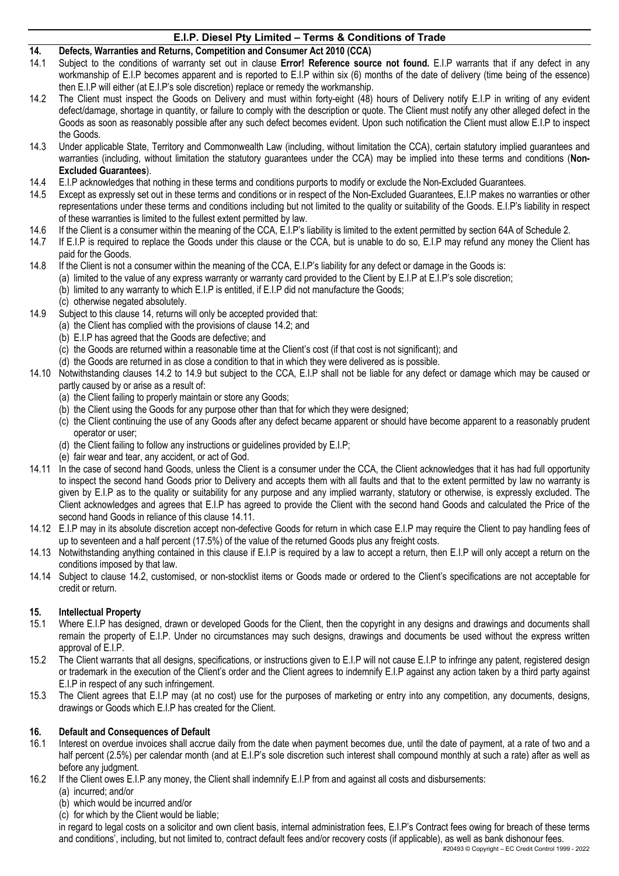- **14. Defects, Warranties and Returns, Competition and Consumer Act 2010 (CCA)**<br>**14.1** Subject to the conditions of warranty set out in clause Error! Reference sour
- Subject to the conditions of warranty set out in clause **Error! Reference source not found.** E.I.P warrants that if any defect in any workmanship of E.I.P becomes apparent and is reported to E.I.P within six (6) months of the date of delivery (time being of the essence) then E.I.P will either (at E.I.P's sole discretion) replace or remedy the workmanship.
- 14.2 The Client must inspect the Goods on Delivery and must within forty-eight (48) hours of Delivery notify E.I.P in writing of any evident defect/damage, shortage in quantity, or failure to comply with the description or quote. The Client must notify any other alleged defect in the Goods as soon as reasonably possible after any such defect becomes evident. Upon such notification the Client must allow E.I.P to inspect the Goods.
- 14.3 Under applicable State, Territory and Commonwealth Law (including, without limitation the CCA), certain statutory implied guarantees and warranties (including, without limitation the statutory guarantees under the CCA) may be implied into these terms and conditions (**Non-Excluded Guarantees**).
- 14.4 E.I.P acknowledges that nothing in these terms and conditions purports to modify or exclude the Non-Excluded Guarantees.
- 14.5 Except as expressly set out in these terms and conditions or in respect of the Non-Excluded Guarantees, E.I.P makes no warranties or other representations under these terms and conditions including but not limited to the quality or suitability of the Goods. E.I.P's liability in respect of these warranties is limited to the fullest extent permitted by law.
- 14.6 If the Client is a consumer within the meaning of the CCA, E.I.P's liability is limited to the extent permitted by section 64A of Schedule 2.
- 14.7 If E.I.P is required to replace the Goods under this clause or the CCA, but is unable to do so, E.I.P may refund any money the Client has paid for the Goods.
- 14.8 If the Client is not a consumer within the meaning of the CCA, E.I.P's liability for any defect or damage in the Goods is:
	- (a) limited to the value of any express warranty or warranty card provided to the Client by E.I.P at E.I.P's sole discretion;
		- (b) limited to any warranty to which E.I.P is entitled, if E.I.P did not manufacture the Goods;
		- (c) otherwise negated absolutely.
- 14.9 Subject to this clause 14, returns will only be accepted provided that:
	- (a) the Client has complied with the provisions of clause 14.2; and
	- (b) E.I.P has agreed that the Goods are defective; and
	- (c) the Goods are returned within a reasonable time at the Client's cost (if that cost is not significant); and
	- (d) the Goods are returned in as close a condition to that in which they were delivered as is possible.
- 14.10 Notwithstanding clauses 14.2 to 14.9 but subject to the CCA, E.I.P shall not be liable for any defect or damage which may be caused or partly caused by or arise as a result of:
	- (a) the Client failing to properly maintain or store any Goods;
	- (b) the Client using the Goods for any purpose other than that for which they were designed;
	- (c) the Client continuing the use of any Goods after any defect became apparent or should have become apparent to a reasonably prudent operator or user;
	- (d) the Client failing to follow any instructions or guidelines provided by E.I.P;
	- (e) fair wear and tear, any accident, or act of God.
- 14.11 In the case of second hand Goods, unless the Client is a consumer under the CCA, the Client acknowledges that it has had full opportunity to inspect the second hand Goods prior to Delivery and accepts them with all faults and that to the extent permitted by law no warranty is given by E.I.P as to the quality or suitability for any purpose and any implied warranty, statutory or otherwise, is expressly excluded. The Client acknowledges and agrees that E.I.P has agreed to provide the Client with the second hand Goods and calculated the Price of the second hand Goods in reliance of this clause 14.11.
- 14.12 E.I.P may in its absolute discretion accept non-defective Goods for return in which case E.I.P may require the Client to pay handling fees of up to seventeen and a half percent (17.5%) of the value of the returned Goods plus any freight costs.
- 14.13 Notwithstanding anything contained in this clause if E.I.P is required by a law to accept a return, then E.I.P will only accept a return on the conditions imposed by that law.
- 14.14 Subject to clause 14.2, customised, or non-stocklist items or Goods made or ordered to the Client's specifications are not acceptable for credit or return.

#### **15. Intellectual Property**

- 15.1 Where E.I.P has designed, drawn or developed Goods for the Client, then the copyright in any designs and drawings and documents shall remain the property of E.I.P. Under no circumstances may such designs, drawings and documents be used without the express written approval of E.I.P.
- 15.2 The Client warrants that all designs, specifications, or instructions given to E.I.P will not cause E.I.P to infringe any patent, registered design or trademark in the execution of the Client's order and the Client agrees to indemnify E.I.P against any action taken by a third party against E.I.P in respect of any such infringement.
- 15.3 The Client agrees that E.I.P may (at no cost) use for the purposes of marketing or entry into any competition, any documents, designs, drawings or Goods which E.I.P has created for the Client.

#### **16. Default and Consequences of Default**

- 16.1 Interest on overdue invoices shall accrue daily from the date when payment becomes due, until the date of payment, at a rate of two and a half percent (2.5%) per calendar month (and at E.I.P's sole discretion such interest shall compound monthly at such a rate) after as well as before any judgment.
- 16.2 If the Client owes E.I.P any money, the Client shall indemnify E.I.P from and against all costs and disbursements:
	- (a) incurred; and/or
		- (b) which would be incurred and/or
		- (c) for which by the Client would be liable;

in regard to legal costs on a solicitor and own client basis, internal administration fees, E.I.P's Contract fees owing for breach of these terms and conditions', including, but not limited to, contract default fees and/or recovery costs (if applicable), as well as bank dishonour fees.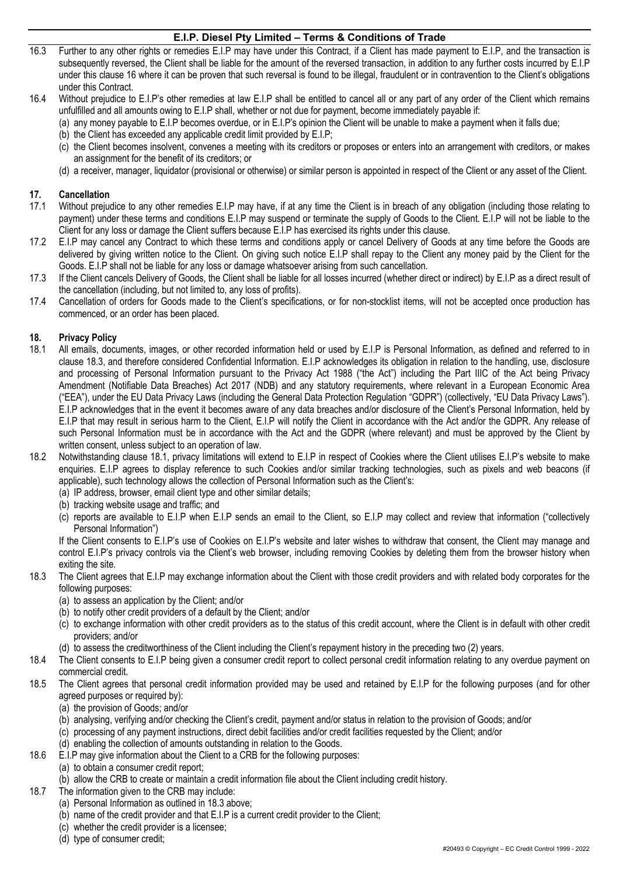- 16.3 Further to any other rights or remedies E.I.P may have under this Contract, if a Client has made payment to E.I.P, and the transaction is subsequently reversed, the Client shall be liable for the amount of the reversed transaction, in addition to any further costs incurred by E.I.P under this clause 16 where it can be proven that such reversal is found to be illegal, fraudulent or in contravention to the Client's obligations under this Contract.
- 16.4 Without prejudice to E.I.P's other remedies at law E.I.P shall be entitled to cancel all or any part of any order of the Client which remains unfulfilled and all amounts owing to E.I.P shall, whether or not due for payment, become immediately payable if:
	- (a) any money payable to E.I.P becomes overdue, or in E.I.P's opinion the Client will be unable to make a payment when it falls due;
	- (b) the Client has exceeded any applicable credit limit provided by E.I.P;
	- (c) the Client becomes insolvent, convenes a meeting with its creditors or proposes or enters into an arrangement with creditors, or makes an assignment for the benefit of its creditors; or
	- (d) a receiver, manager, liquidator (provisional or otherwise) or similar person is appointed in respect of the Client or any asset of the Client.

#### **17. Cancellation**

- 17.1 Without prejudice to any other remedies E.I.P may have, if at any time the Client is in breach of any obligation (including those relating to payment) under these terms and conditions E.I.P may suspend or terminate the supply of Goods to the Client. E.I.P will not be liable to the Client for any loss or damage the Client suffers because E.I.P has exercised its rights under this clause.
- 17.2 E.I.P may cancel any Contract to which these terms and conditions apply or cancel Delivery of Goods at any time before the Goods are delivered by giving written notice to the Client. On giving such notice E.I.P shall repay to the Client any money paid by the Client for the Goods. E.I.P shall not be liable for any loss or damage whatsoever arising from such cancellation.
- 17.3 If the Client cancels Delivery of Goods, the Client shall be liable for all losses incurred (whether direct or indirect) by E.I.P as a direct result of the cancellation (including, but not limited to, any loss of profits).
- 17.4 Cancellation of orders for Goods made to the Client's specifications, or for non-stocklist items, will not be accepted once production has commenced, or an order has been placed.

#### **18. Privacy Policy**

- 18.1 All emails, documents, images, or other recorded information held or used by E.I.P is Personal Information, as defined and referred to in clause 18.3, and therefore considered Confidential Information. E.I.P acknowledges its obligation in relation to the handling, use, disclosure and processing of Personal Information pursuant to the Privacy Act 1988 ("the Act") including the Part IIIC of the Act being Privacy Amendment (Notifiable Data Breaches) Act 2017 (NDB) and any statutory requirements, where relevant in a European Economic Area ("EEA"), under the EU Data Privacy Laws (including the General Data Protection Regulation "GDPR") (collectively, "EU Data Privacy Laws"). E.I.P acknowledges that in the event it becomes aware of any data breaches and/or disclosure of the Client's Personal Information, held by E.I.P that may result in serious harm to the Client, E.I.P will notify the Client in accordance with the Act and/or the GDPR. Any release of such Personal Information must be in accordance with the Act and the GDPR (where relevant) and must be approved by the Client by written consent, unless subject to an operation of law.
- 18.2 Notwithstanding clause 18.1, privacy limitations will extend to E.I.P in respect of Cookies where the Client utilises E.I.P's website to make enquiries. E.I.P agrees to display reference to such Cookies and/or similar tracking technologies, such as pixels and web beacons (if applicable), such technology allows the collection of Personal Information such as the Client's:
	- (a) IP address, browser, email client type and other similar details;
	- (b) tracking website usage and traffic; and
	- (c) reports are available to E.I.P when E.I.P sends an email to the Client, so E.I.P may collect and review that information ("collectively Personal Information")

If the Client consents to E.I.P's use of Cookies on E.I.P's website and later wishes to withdraw that consent, the Client may manage and control E.I.P's privacy controls via the Client's web browser, including removing Cookies by deleting them from the browser history when exiting the site.

- 18.3 The Client agrees that E.I.P may exchange information about the Client with those credit providers and with related body corporates for the following purposes:
	- (a) to assess an application by the Client; and/or
	- (b) to notify other credit providers of a default by the Client; and/or
	- (c) to exchange information with other credit providers as to the status of this credit account, where the Client is in default with other credit providers; and/or
	- (d) to assess the creditworthiness of the Client including the Client's repayment history in the preceding two (2) years.
- 18.4 The Client consents to E.I.P being given a consumer credit report to collect personal credit information relating to any overdue payment on commercial credit.
- 18.5 The Client agrees that personal credit information provided may be used and retained by E.I.P for the following purposes (and for other agreed purposes or required by):
	- (a) the provision of Goods; and/or
	- (b) analysing, verifying and/or checking the Client's credit, payment and/or status in relation to the provision of Goods; and/or
	- (c) processing of any payment instructions, direct debit facilities and/or credit facilities requested by the Client; and/or
	- (d) enabling the collection of amounts outstanding in relation to the Goods.
- 18.6 E.I.P may give information about the Client to a CRB for the following purposes:
	- (a) to obtain a consumer credit report;
	- (b) allow the CRB to create or maintain a credit information file about the Client including credit history.
- 18.7 The information given to the CRB may include:
	- (a) Personal Information as outlined in 18.3 above;
	- (b) name of the credit provider and that E.I.P is a current credit provider to the Client;
	- (c) whether the credit provider is a licensee;
	- (d) type of consumer credit;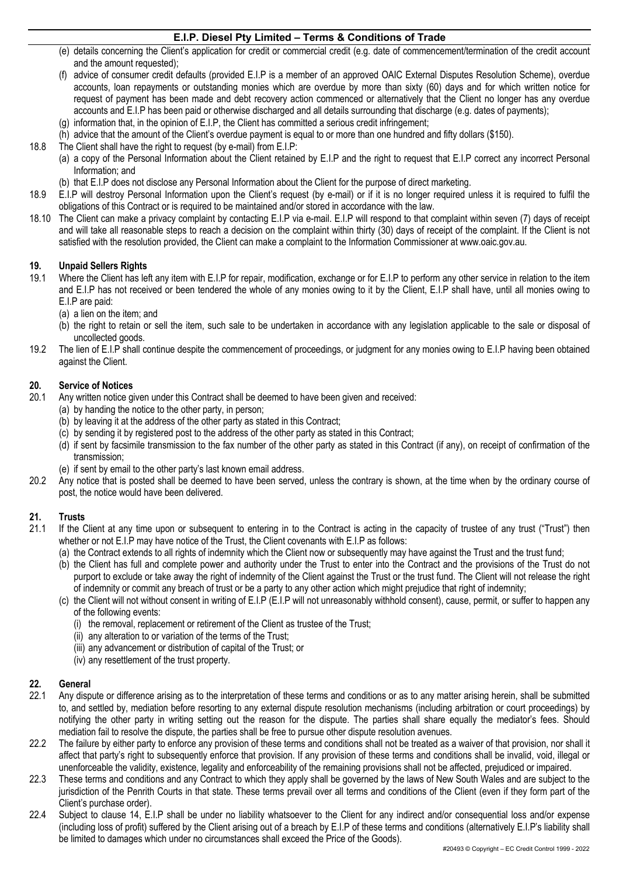- (e) details concerning the Client's application for credit or commercial credit (e.g. date of commencement/termination of the credit account and the amount requested);
- (f) advice of consumer credit defaults (provided E.I.P is a member of an approved OAIC External Disputes Resolution Scheme), overdue accounts, loan repayments or outstanding monies which are overdue by more than sixty (60) days and for which written notice for request of payment has been made and debt recovery action commenced or alternatively that the Client no longer has any overdue accounts and E.I.P has been paid or otherwise discharged and all details surrounding that discharge (e.g. dates of payments);
- (g) information that, in the opinion of E.I.P, the Client has committed a serious credit infringement;
- (h) advice that the amount of the Client's overdue payment is equal to or more than one hundred and fifty dollars (\$150).
- 18.8 The Client shall have the right to request (by e-mail) from E.I.P:
	- (a) a copy of the Personal Information about the Client retained by E.I.P and the right to request that E.I.P correct any incorrect Personal Information; and
		- (b) that E.I.P does not disclose any Personal Information about the Client for the purpose of direct marketing.
- 18.9 E.I.P will destroy Personal Information upon the Client's request (by e-mail) or if it is no longer required unless it is required to fulfil the obligations of this Contract or is required to be maintained and/or stored in accordance with the law.
- 18.10 The Client can make a privacy complaint by contacting E.I.P via e-mail. E.I.P will respond to that complaint within seven (7) days of receipt and will take all reasonable steps to reach a decision on the complaint within thirty (30) days of receipt of the complaint. If the Client is not satisfied with the resolution provided, the Client can make a complaint to the Information Commissioner at www.oaic.gov.au.

#### **19. Unpaid Sellers Rights**

- 19.1 Where the Client has left any item with E.I.P for repair, modification, exchange or for E.I.P to perform any other service in relation to the item and E.I.P has not received or been tendered the whole of any monies owing to it by the Client, E.I.P shall have, until all monies owing to E.I.P are paid:
	- (a) a lien on the item; and
	- (b) the right to retain or sell the item, such sale to be undertaken in accordance with any legislation applicable to the sale or disposal of uncollected goods.
- 19.2 The lien of E.I.P shall continue despite the commencement of proceedings, or judgment for any monies owing to E.I.P having been obtained against the Client.

#### **20. Service of Notices**

- 20.1 Any written notice given under this Contract shall be deemed to have been given and received:
	- (a) by handing the notice to the other party, in person;
		- (b) by leaving it at the address of the other party as stated in this Contract;
		- (c) by sending it by registered post to the address of the other party as stated in this Contract;
		- (d) if sent by facsimile transmission to the fax number of the other party as stated in this Contract (if any), on receipt of confirmation of the transmission;
	- (e) if sent by email to the other party's last known email address.
- 20.2 Any notice that is posted shall be deemed to have been served, unless the contrary is shown, at the time when by the ordinary course of post, the notice would have been delivered.

#### **21. Trusts**

- 21.1 If the Client at any time upon or subsequent to entering in to the Contract is acting in the capacity of trustee of any trust ("Trust") then whether or not E.I.P may have notice of the Trust, the Client covenants with E.I.P as follows:
	- (a) the Contract extends to all rights of indemnity which the Client now or subsequently may have against the Trust and the trust fund;
	- (b) the Client has full and complete power and authority under the Trust to enter into the Contract and the provisions of the Trust do not purport to exclude or take away the right of indemnity of the Client against the Trust or the trust fund. The Client will not release the right of indemnity or commit any breach of trust or be a party to any other action which might prejudice that right of indemnity;
	- (c) the Client will not without consent in writing of E.I.P (E.I.P will not unreasonably withhold consent), cause, permit, or suffer to happen any of the following events:
		- (i) the removal, replacement or retirement of the Client as trustee of the Trust;
		- (ii) any alteration to or variation of the terms of the Trust;
		- (iii) any advancement or distribution of capital of the Trust; or
		- (iv) any resettlement of the trust property.

#### **22. General**

- 22.1 Any dispute or difference arising as to the interpretation of these terms and conditions or as to any matter arising herein, shall be submitted to, and settled by, mediation before resorting to any external dispute resolution mechanisms (including arbitration or court proceedings) by notifying the other party in writing setting out the reason for the dispute. The parties shall share equally the mediator's fees. Should mediation fail to resolve the dispute, the parties shall be free to pursue other dispute resolution avenues.
- 22.2 The failure by either party to enforce any provision of these terms and conditions shall not be treated as a waiver of that provision, nor shall it affect that party's right to subsequently enforce that provision. If any provision of these terms and conditions shall be invalid, void, illegal or unenforceable the validity, existence, legality and enforceability of the remaining provisions shall not be affected, prejudiced or impaired.
- 22.3 These terms and conditions and any Contract to which they apply shall be governed by the laws of New South Wales and are subject to the jurisdiction of the Penrith Courts in that state. These terms prevail over all terms and conditions of the Client (even if they form part of the Client's purchase order).
- 22.4 Subject to clause 14, E.I.P shall be under no liability whatsoever to the Client for any indirect and/or consequential loss and/or expense (including loss of profit) suffered by the Client arising out of a breach by E.I.P of these terms and conditions (alternatively E.I.P's liability shall be limited to damages which under no circumstances shall exceed the Price of the Goods).